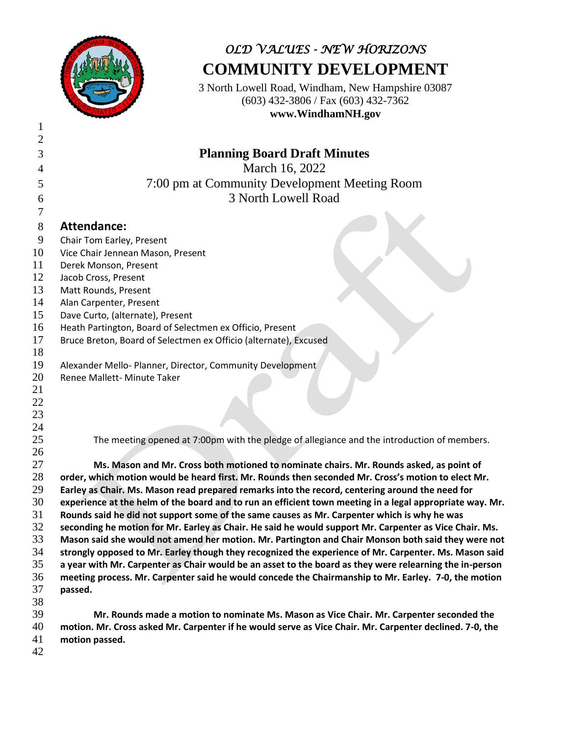

## *OLD VALUES - NEW HORIZONS* **COMMUNITY DEVELOPMENT**

3 North Lowell Road, Windham, New Hampshire 03087 (603) 432-3806 / Fax (603) 432-7362 **www.WindhamNH.gov**

| $\overline{2}$ |                                                                                                                                                                                                              |
|----------------|--------------------------------------------------------------------------------------------------------------------------------------------------------------------------------------------------------------|
| 3              | <b>Planning Board Draft Minutes</b>                                                                                                                                                                          |
| 4              | March 16, 2022                                                                                                                                                                                               |
| 5              | 7:00 pm at Community Development Meeting Room                                                                                                                                                                |
|                | 3 North Lowell Road                                                                                                                                                                                          |
| 6<br>7         |                                                                                                                                                                                                              |
|                |                                                                                                                                                                                                              |
| $\,8\,$        | <b>Attendance:</b>                                                                                                                                                                                           |
| 9<br>10        | Chair Tom Earley, Present                                                                                                                                                                                    |
| 11             | Vice Chair Jennean Mason, Present<br>Derek Monson, Present                                                                                                                                                   |
| 12             | Jacob Cross, Present                                                                                                                                                                                         |
| 13             | Matt Rounds, Present                                                                                                                                                                                         |
| 14             | Alan Carpenter, Present                                                                                                                                                                                      |
| 15             | Dave Curto, (alternate), Present                                                                                                                                                                             |
| 16             | Heath Partington, Board of Selectmen ex Officio, Present                                                                                                                                                     |
| 17             | Bruce Breton, Board of Selectmen ex Officio (alternate), Excused                                                                                                                                             |
| 18             |                                                                                                                                                                                                              |
| 19             | Alexander Mello- Planner, Director, Community Development                                                                                                                                                    |
| 20             | Renee Mallett- Minute Taker                                                                                                                                                                                  |
| 21             |                                                                                                                                                                                                              |
| 22             |                                                                                                                                                                                                              |
| 23             |                                                                                                                                                                                                              |
| 24             |                                                                                                                                                                                                              |
| 25             | The meeting opened at 7:00pm with the pledge of allegiance and the introduction of members.                                                                                                                  |
| 26             |                                                                                                                                                                                                              |
| 27             | Ms. Mason and Mr. Cross both motioned to nominate chairs. Mr. Rounds asked, as point of                                                                                                                      |
| 28             | order, which motion would be heard first. Mr. Rounds then seconded Mr. Cross's motion to elect Mr.                                                                                                           |
| 29             | Earley as Chair. Ms. Mason read prepared remarks into the record, centering around the need for                                                                                                              |
| 30             | experience at the helm of the board and to run an efficient town meeting in a legal appropriate way. Mr.                                                                                                     |
| 31<br>32       | Rounds said he did not support some of the same causes as Mr. Carpenter which is why he was                                                                                                                  |
| 33             | seconding he motion for Mr. Earley as Chair. He said he would support Mr. Carpenter as Vice Chair. Ms.<br>Mason said she would not amend her motion. Mr. Partington and Chair Monson both said they were not |
| 34             | strongly opposed to Mr. Earley though they recognized the experience of Mr. Carpenter. Ms. Mason said                                                                                                        |
| 35             | a year with Mr. Carpenter as Chair would be an asset to the board as they were relearning the in-person                                                                                                      |
| 36             | meeting process. Mr. Carpenter said he would concede the Chairmanship to Mr. Earley. 7-0, the motion                                                                                                         |
| 37             | passed.                                                                                                                                                                                                      |
| 38             |                                                                                                                                                                                                              |
| 39             | Mr. Rounds made a motion to nominate Ms. Mason as Vice Chair. Mr. Carpenter seconded the                                                                                                                     |
| 40             | motion. Mr. Cross asked Mr. Carpenter if he would serve as Vice Chair. Mr. Carpenter declined. 7-0, the                                                                                                      |
| 41             | motion passed.                                                                                                                                                                                               |
| 42             |                                                                                                                                                                                                              |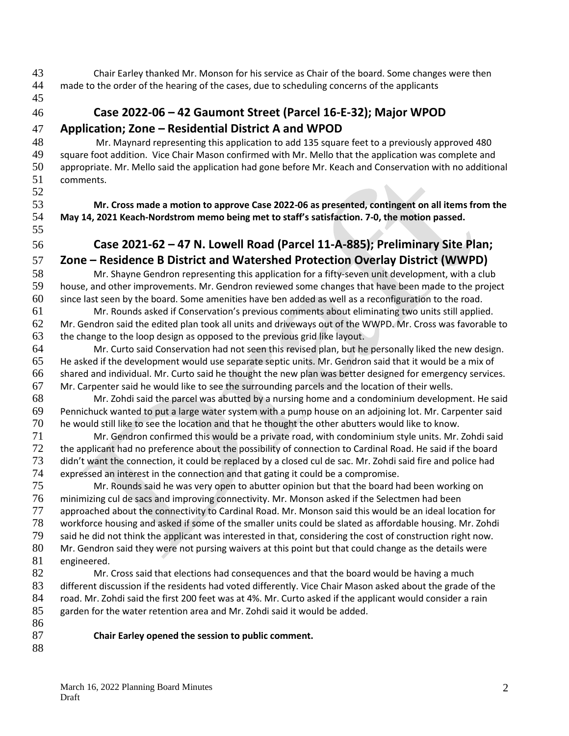Chair Earley thanked Mr. Monson for his service as Chair of the board. Some changes were then made to the order of the hearing of the cases, due to scheduling concerns of the applicants

- 
- 

## **Case 2022-06 – 42 Gaumont Street (Parcel 16-E-32); Major WPOD Application; Zone – Residential District A and WPOD**

 Mr. Maynard representing this application to add 135 square feet to a previously approved 480 square foot addition. Vice Chair Mason confirmed with Mr. Mello that the application was complete and appropriate. Mr. Mello said the application had gone before Mr. Keach and Conservation with no additional comments. 

 **Mr. Cross made a motion to approve Case 2022-06 as presented, contingent on all items from the May 14, 2021 Keach-Nordstrom memo being met to staff's satisfaction. 7-0, the motion passed.**  

 **Case 2021-62 – 47 N. Lowell Road (Parcel 11-A-885); Preliminary Site Plan; Zone – Residence B District and Watershed Protection Overlay District (WWPD)**

 Mr. Shayne Gendron representing this application for a fifty-seven unit development, with a club house, and other improvements. Mr. Gendron reviewed some changes that have been made to the project since last seen by the board. Some amenities have ben added as well as a reconfiguration to the road.

 Mr. Rounds asked if Conservation's previous comments about eliminating two units still applied. Mr. Gendron said the edited plan took all units and driveways out of the WWPD. Mr. Cross was favorable to the change to the loop design as opposed to the previous grid like layout.

 Mr. Curto said Conservation had not seen this revised plan, but he personally liked the new design. He asked if the development would use separate septic units. Mr. Gendron said that it would be a mix of shared and individual. Mr. Curto said he thought the new plan was better designed for emergency services. Mr. Carpenter said he would like to see the surrounding parcels and the location of their wells.

 Mr. Zohdi said the parcel was abutted by a nursing home and a condominium development. He said Pennichuck wanted to put a large water system with a pump house on an adjoining lot. Mr. Carpenter said he would still like to see the location and that he thought the other abutters would like to know.

 Mr. Gendron confirmed this would be a private road, with condominium style units. Mr. Zohdi said the applicant had no preference about the possibility of connection to Cardinal Road. He said if the board didn't want the connection, it could be replaced by a closed cul de sac. Mr. Zohdi said fire and police had expressed an interest in the connection and that gating it could be a compromise.

 Mr. Rounds said he was very open to abutter opinion but that the board had been working on minimizing cul de sacs and improving connectivity. Mr. Monson asked if the Selectmen had been approached about the connectivity to Cardinal Road. Mr. Monson said this would be an ideal location for workforce housing and asked if some of the smaller units could be slated as affordable housing. Mr. Zohdi said he did not think the applicant was interested in that, considering the cost of construction right now. Mr. Gendron said they were not pursing waivers at this point but that could change as the details were engineered.

82 Mr. Cross said that elections had consequences and that the board would be having a much different discussion if the residents had voted differently. Vice Chair Mason asked about the grade of the road. Mr. Zohdi said the first 200 feet was at 4%. Mr. Curto asked if the applicant would consider a rain garden for the water retention area and Mr. Zohdi said it would be added.

- **Chair Earley opened the session to public comment.** 
	- March 16, 2022 Planning Board Minutes Draft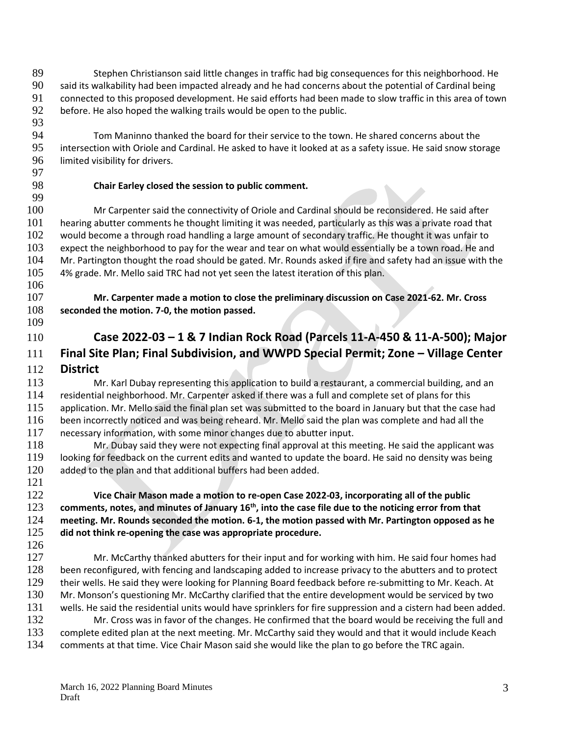- Stephen Christianson said little changes in traffic had big consequences for this neighborhood. He said its walkability had been impacted already and he had concerns about the potential of Cardinal being connected to this proposed development. He said efforts had been made to slow traffic in this area of town before. He also hoped the walking trails would be open to the public.
- Tom Maninno thanked the board for their service to the town. He shared concerns about the intersection with Oriole and Cardinal. He asked to have it looked at as a safety issue. He said snow storage limited visibility for drivers.
- 

## **Chair Earley closed the session to public comment.**

 Mr Carpenter said the connectivity of Oriole and Cardinal should be reconsidered. He said after hearing abutter comments he thought limiting it was needed, particularly as this was a private road that would become a through road handling a large amount of secondary traffic. He thought it was unfair to expect the neighborhood to pay for the wear and tear on what would essentially be a town road. He and Mr. Partington thought the road should be gated. Mr. Rounds asked if fire and safety had an issue with the 4% grade. Mr. Mello said TRC had not yet seen the latest iteration of this plan.

- **Mr. Carpenter made a motion to close the preliminary discussion on Case 2021-62. Mr. Cross seconded the motion. 7-0, the motion passed.**
- **Case 2022-03 – 1 & 7 Indian Rock Road (Parcels 11-A-450 & 11-A-500); Major Final Site Plan; Final Subdivision, and WWPD Special Permit; Zone – Village Center**
- **District**
- Mr. Karl Dubay representing this application to build a restaurant, a commercial building, and an residential neighborhood. Mr. Carpenter asked if there was a full and complete set of plans for this application. Mr. Mello said the final plan set was submitted to the board in January but that the case had been incorrectly noticed and was being reheard. Mr. Mello said the plan was complete and had all the necessary information, with some minor changes due to abutter input.
- Mr. Dubay said they were not expecting final approval at this meeting. He said the applicant was looking for feedback on the current edits and wanted to update the board. He said no density was being added to the plan and that additional buffers had been added.

## **Vice Chair Mason made a motion to re-open Case 2022-03, incorporating all of the public comments, notes, and minutes of January 16th , into the case file due to the noticing error from that meeting. Mr. Rounds seconded the motion. 6-1, the motion passed with Mr. Partington opposed as he did not think re-opening the case was appropriate procedure.**

127 Mr. McCarthy thanked abutters for their input and for working with him. He said four homes had been reconfigured, with fencing and landscaping added to increase privacy to the abutters and to protect their wells. He said they were looking for Planning Board feedback before re-submitting to Mr. Keach. At 130 Mr. Monson's questioning Mr. McCarthy clarified that the entire development would be serviced by two wells. He said the residential units would have sprinklers for fire suppression and a cistern had been added. Mr. Cross was in favor of the changes. He confirmed that the board would be receiving the full and 133 complete edited plan at the next meeting. Mr. McCarthy said they would and that it would include Keach<br>134 comments at that time. Vice Chair Mason said she would like the plan to go before the TRC again. comments at that time. Vice Chair Mason said she would like the plan to go before the TRC again.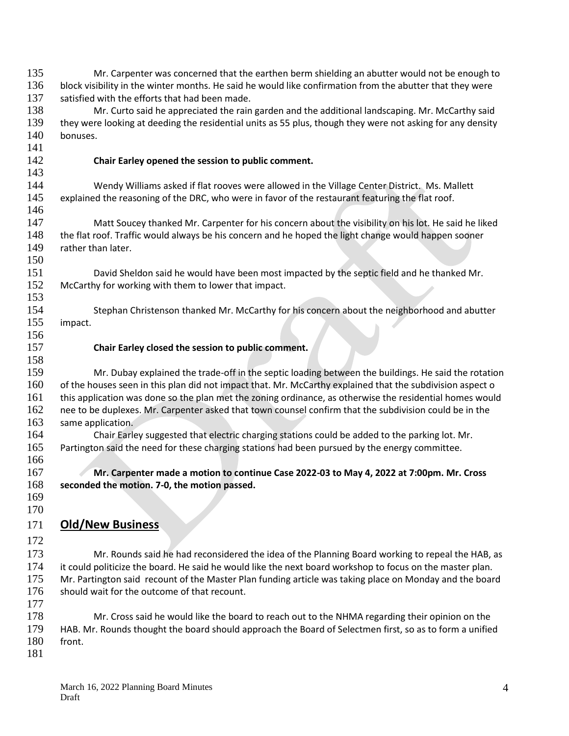Mr. Carpenter was concerned that the earthen berm shielding an abutter would not be enough to block visibility in the winter months. He said he would like confirmation from the abutter that they were 137 satisfied with the efforts that had been made. 138 Mr. Curto said he appreciated the rain garden and the additional landscaping. Mr. McCarthy said<br>139 they were looking at deeding the residential units as 55 plus, though they were not asking for any density they were looking at deeding the residential units as 55 plus, though they were not asking for any density bonuses. **Chair Earley opened the session to public comment.**  Wendy Williams asked if flat rooves were allowed in the Village Center District. Ms. Mallett explained the reasoning of the DRC, who were in favor of the restaurant featuring the flat roof. Matt Soucey thanked Mr. Carpenter for his concern about the visibility on his lot. He said he liked the flat roof. Traffic would always be his concern and he hoped the light change would happen sooner rather than later. David Sheldon said he would have been most impacted by the septic field and he thanked Mr. McCarthy for working with them to lower that impact. Stephan Christenson thanked Mr. McCarthy for his concern about the neighborhood and abutter impact. **Chair Earley closed the session to public comment.**  Mr. Dubay explained the trade-off in the septic loading between the buildings. He said the rotation 160 of the houses seen in this plan did not impact that. Mr. McCarthy explained that the subdivision aspect o this application was done so the plan met the zoning ordinance, as otherwise the residential homes would nee to be duplexes. Mr. Carpenter asked that town counsel confirm that the subdivision could be in the 163 same application. Chair Earley suggested that electric charging stations could be added to the parking lot. Mr. 165 Partington said the need for these charging stations had been pursued by the energy committee. **Mr. Carpenter made a motion to continue Case 2022-03 to May 4, 2022 at 7:00pm. Mr. Cross seconded the motion. 7-0, the motion passed. Old/New Business** Mr. Rounds said he had reconsidered the idea of the Planning Board working to repeal the HAB, as it could politicize the board. He said he would like the next board workshop to focus on the master plan. Mr. Partington said recount of the Master Plan funding article was taking place on Monday and the board 176 should wait for the outcome of that recount. Mr. Cross said he would like the board to reach out to the NHMA regarding their opinion on the HAB. Mr. Rounds thought the board should approach the Board of Selectmen first, so as to form a unified front.